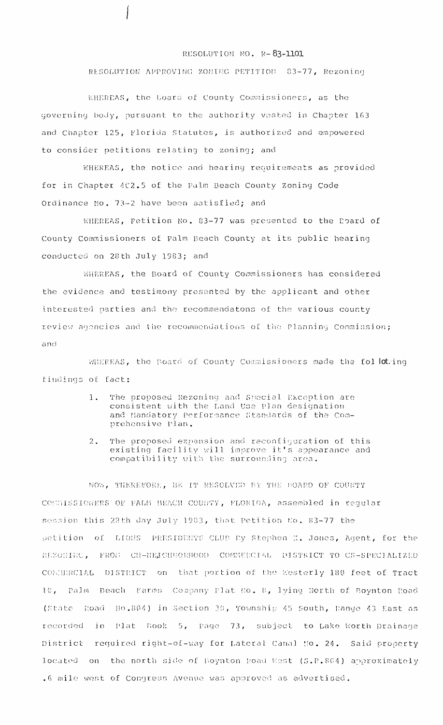## RESOLUTION NO. R-83-1101

## RESOLUTION APPROVING ZONING PETITION 83-77, Rezoning

KHEREAS, the Board of County Commissioners, as the governing body, pursuant to the authority vested in Chapter 163 and Chapter 125, Florida Statutes, is authorized and empowered to consider petitions relating to zoning; and

WHEREAS, the notice and hearing requirements as provided for in Chapter 402.5 of the Palm Beach County Zoning Code Ordinance No. 73-2 have been satisfied; and

WHEREAS, petition No. 83-77 was presented to the Poard of County Commissioners of Palm Beach County at its public hearing conducted on 28th July 1983; and

WHEREAS, the Board of County Commissioners has considered the evidence and testimony presented by the applicant and other interested parties and the recommendatons of the various county review agencies and the recommendations of the Planning Commission; and

WHEREAS, the Board of County Commissioners made the fol loting findings of fact:

- $1.$ The proposed Rezoning and Special Exception are consistent with the Land Use Plan designation and Mandatory Performance Standards of the Comprehensive Plan.
- The proposed expansion and reconfiguration of this<br>existing facility will improve it's appearance and<br>compatibility with the surrounding area.  $2.$

NOW, THEREFORE, BE IT RESOLVED BY THE BOARD OF COUNTY COMMISSIONERS OF PALM BEACH COUNTY, FLORIDA, assembled in regular session this 28th day July 1983, that Petition No. 83-77 the petition of LIONS PRESIDENTS CLUB By Stephen K. Jones, Agent, for the REZONINC, FRON CH-NEIGHDORHOOD COMMERCIAL DISTRICT TO CS-SPECIALIZED CONNERCIAL DISTRICT on that portion of the Westerly 180 feet of Tract 10, Palm Beach Farms Company Plat No. 8, lying North of Boynton Road (State Road No.804) in Section 30, Township 45 South, Range 43 East as recorded in Plat Book 5, Page 73, subject to Lake Worth Drainage District required right-of-way for Lateral Canal No. 24. Said property located on the north side of Boynton Road West (S.R.804) approximately .6 mile west of Congress Avenue was approved as advertised.